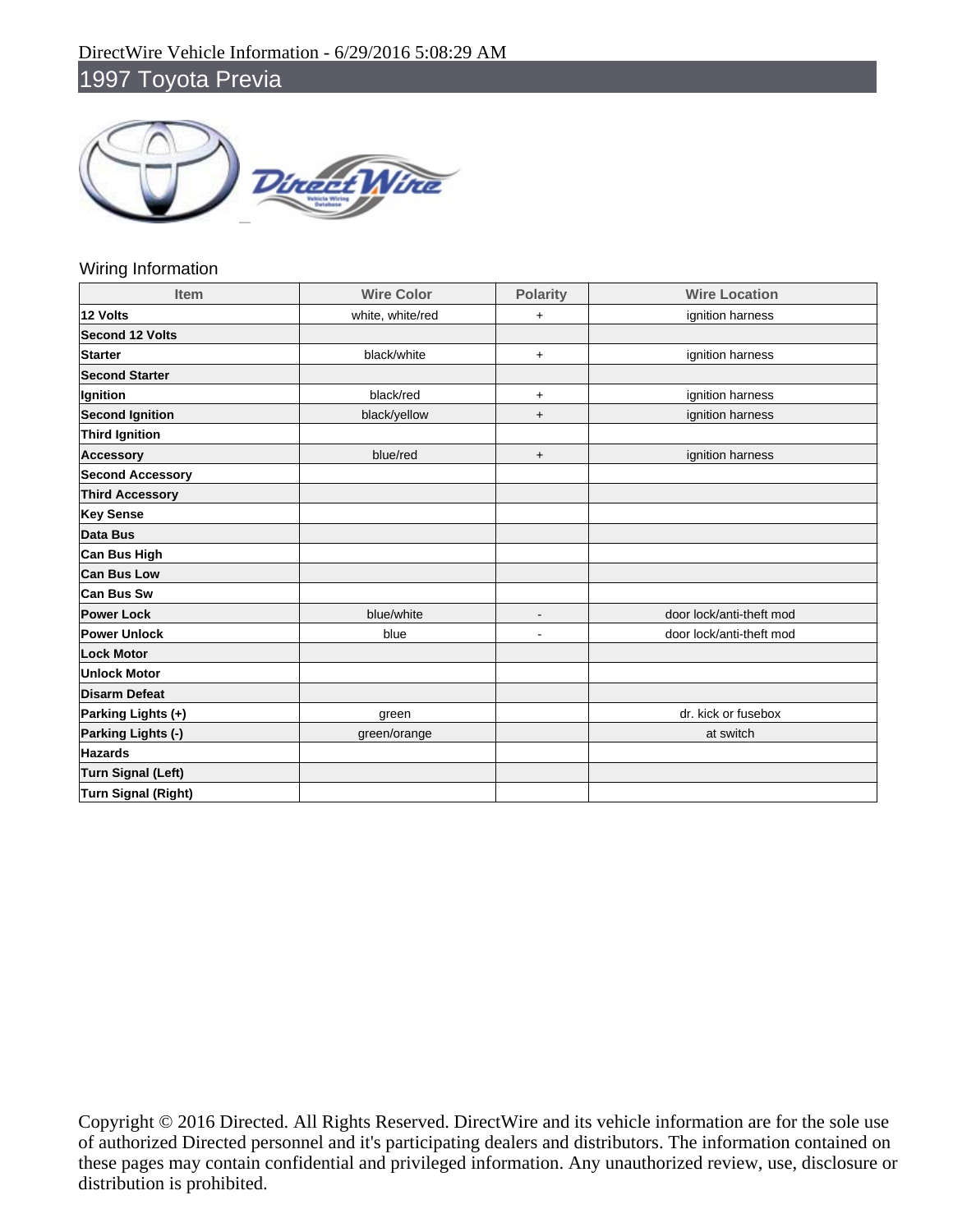

### Wiring Information

| <b>Item</b>                | <b>Wire Color</b> | <b>Polarity</b> | <b>Wire Location</b>     |
|----------------------------|-------------------|-----------------|--------------------------|
| 12 Volts                   | white, white/red  | $\ddot{}$       | ignition harness         |
| <b>Second 12 Volts</b>     |                   |                 |                          |
| <b>Starter</b>             | black/white       | $+$             | ignition harness         |
| <b>Second Starter</b>      |                   |                 |                          |
| Ignition                   | black/red         | $+$             | ignition harness         |
| <b>Second Ignition</b>     | black/yellow      | $\ddot{}$       | ignition harness         |
| <b>Third Ignition</b>      |                   |                 |                          |
| <b>Accessory</b>           | blue/red          | $\ddot{}$       | ignition harness         |
| <b>Second Accessory</b>    |                   |                 |                          |
| <b>Third Accessory</b>     |                   |                 |                          |
| <b>Key Sense</b>           |                   |                 |                          |
| Data Bus                   |                   |                 |                          |
| <b>Can Bus High</b>        |                   |                 |                          |
| <b>Can Bus Low</b>         |                   |                 |                          |
| Can Bus Sw                 |                   |                 |                          |
| <b>Power Lock</b>          | blue/white        | $\overline{a}$  | door lock/anti-theft mod |
| <b>Power Unlock</b>        | blue              | ä,              | door lock/anti-theft mod |
| <b>Lock Motor</b>          |                   |                 |                          |
| <b>Unlock Motor</b>        |                   |                 |                          |
| <b>Disarm Defeat</b>       |                   |                 |                          |
| Parking Lights (+)         | green             |                 | dr. kick or fusebox      |
| Parking Lights (-)         | green/orange      |                 | at switch                |
| <b>Hazards</b>             |                   |                 |                          |
| <b>Turn Signal (Left)</b>  |                   |                 |                          |
| <b>Turn Signal (Right)</b> |                   |                 |                          |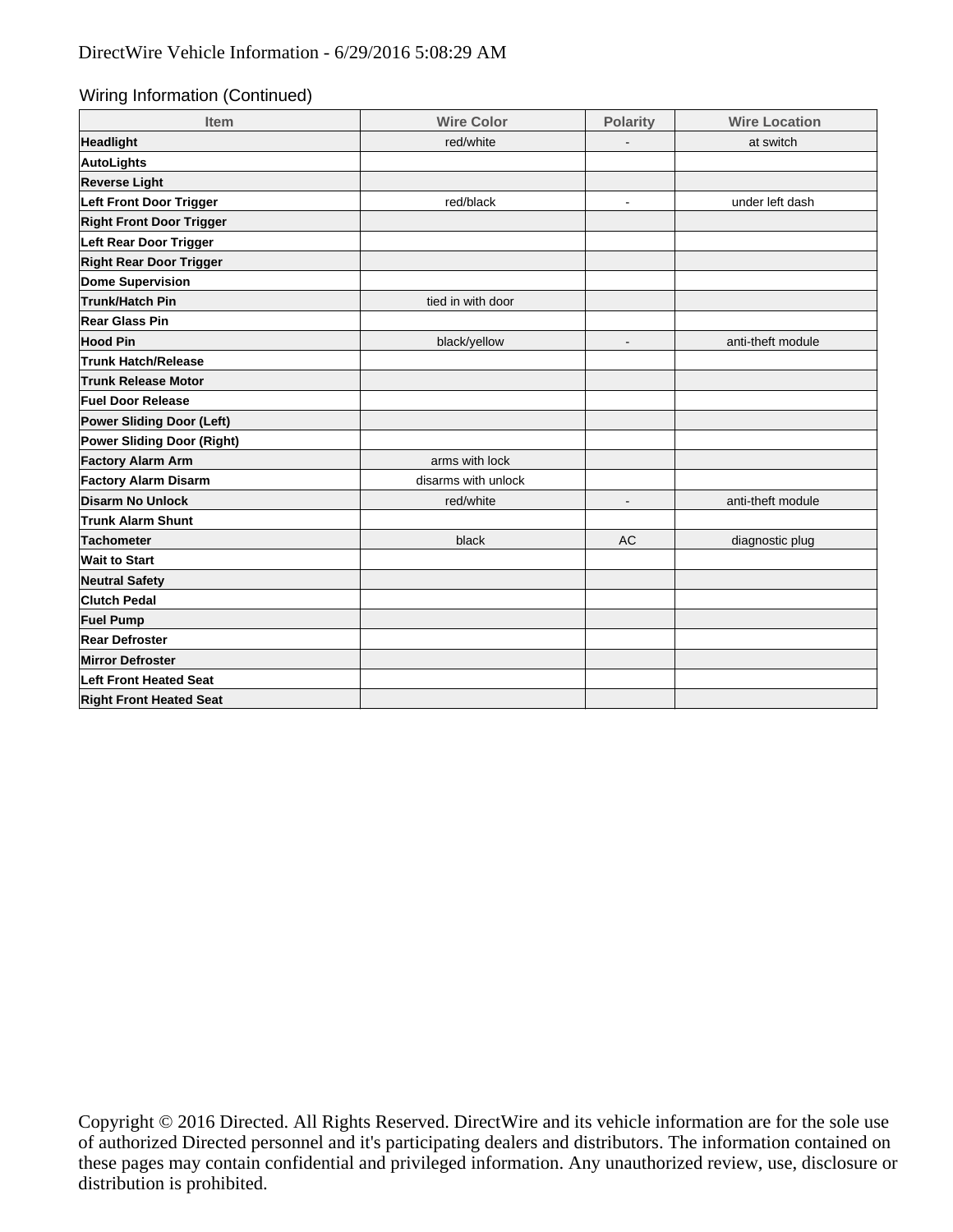### Wiring Information (Continued)

| <b>Item</b>                     | <b>Wire Color</b>   | <b>Polarity</b> | <b>Wire Location</b> |
|---------------------------------|---------------------|-----------------|----------------------|
| Headlight                       | red/white           |                 | at switch            |
| AutoLights                      |                     |                 |                      |
| <b>Reverse Light</b>            |                     |                 |                      |
| Left Front Door Trigger         | red/black           | $\blacksquare$  | under left dash      |
| <b>Right Front Door Trigger</b> |                     |                 |                      |
| Left Rear Door Trigger          |                     |                 |                      |
| <b>Right Rear Door Trigger</b>  |                     |                 |                      |
| Dome Supervision                |                     |                 |                      |
| Trunk/Hatch Pin                 | tied in with door   |                 |                      |
| <b>Rear Glass Pin</b>           |                     |                 |                      |
| <b>Hood Pin</b>                 | black/yellow        |                 | anti-theft module    |
| <b>Trunk Hatch/Release</b>      |                     |                 |                      |
| <b>Trunk Release Motor</b>      |                     |                 |                      |
| <b>Fuel Door Release</b>        |                     |                 |                      |
| Power Sliding Door (Left)       |                     |                 |                      |
| Power Sliding Door (Right)      |                     |                 |                      |
| <b>Factory Alarm Arm</b>        | arms with lock      |                 |                      |
| <b>Factory Alarm Disarm</b>     | disarms with unlock |                 |                      |
| Disarm No Unlock                | red/white           | $\blacksquare$  | anti-theft module    |
| <b>Trunk Alarm Shunt</b>        |                     |                 |                      |
| Tachometer                      | black               | <b>AC</b>       | diagnostic plug      |
| <b>Wait to Start</b>            |                     |                 |                      |
| <b>Neutral Safety</b>           |                     |                 |                      |
| <b>Clutch Pedal</b>             |                     |                 |                      |
| <b>Fuel Pump</b>                |                     |                 |                      |
| <b>Rear Defroster</b>           |                     |                 |                      |
| <b>Mirror Defroster</b>         |                     |                 |                      |
| Left Front Heated Seat          |                     |                 |                      |
| <b>Right Front Heated Seat</b>  |                     |                 |                      |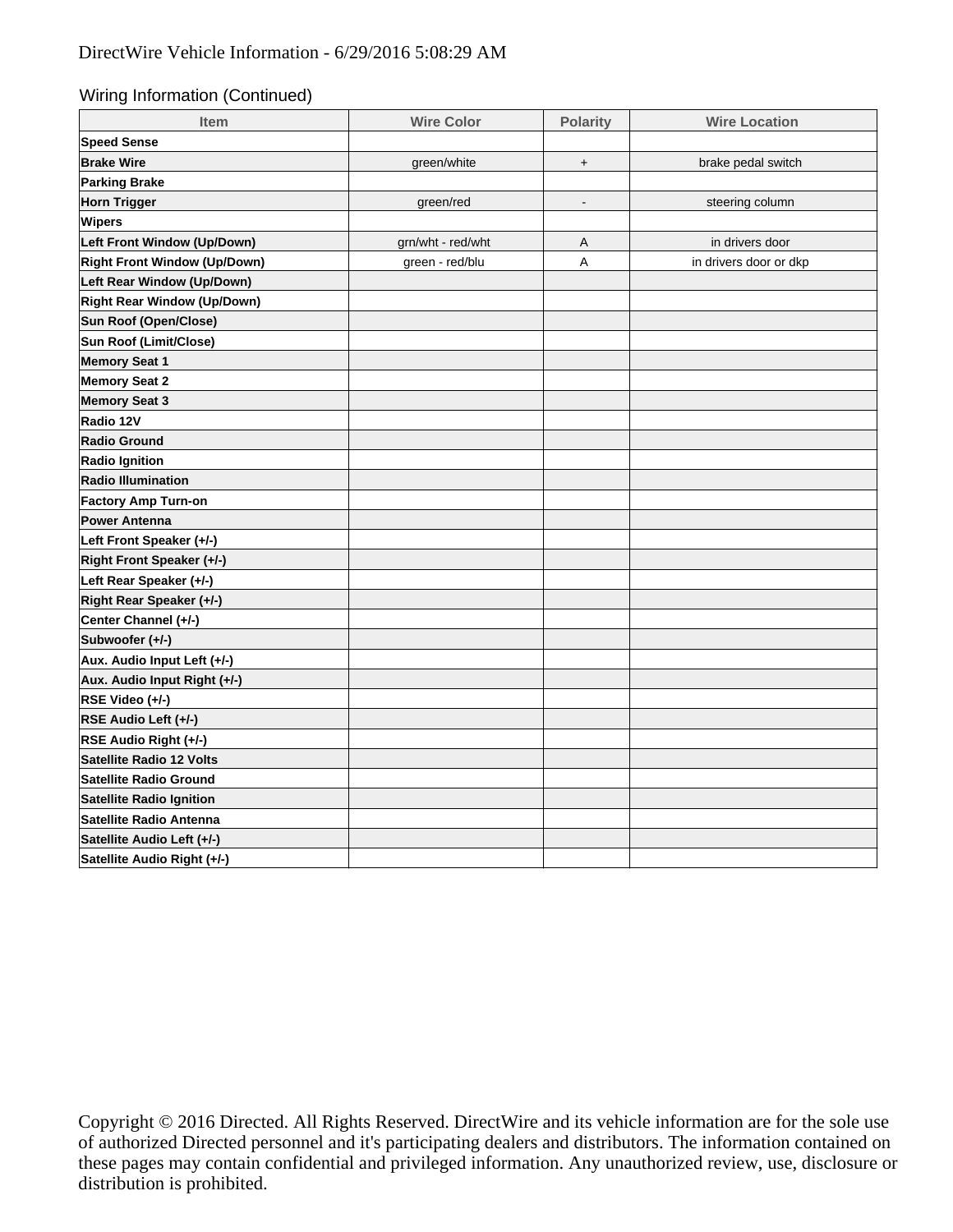Wiring Information (Continued)

| <b>Item</b>                         | <b>Wire Color</b> | <b>Polarity</b> | <b>Wire Location</b>   |  |
|-------------------------------------|-------------------|-----------------|------------------------|--|
| <b>Speed Sense</b>                  |                   |                 |                        |  |
| <b>Brake Wire</b>                   | green/white       | $+$             | brake pedal switch     |  |
| <b>Parking Brake</b>                |                   |                 |                        |  |
| <b>Horn Trigger</b>                 | green/red         |                 | steering column        |  |
| <b>Wipers</b>                       |                   |                 |                        |  |
| Left Front Window (Up/Down)         | grn/wht - red/wht | $\overline{A}$  | in drivers door        |  |
| <b>Right Front Window (Up/Down)</b> | green - red/blu   | A               | in drivers door or dkp |  |
| Left Rear Window (Up/Down)          |                   |                 |                        |  |
| <b>Right Rear Window (Up/Down)</b>  |                   |                 |                        |  |
| Sun Roof (Open/Close)               |                   |                 |                        |  |
| Sun Roof (Limit/Close)              |                   |                 |                        |  |
| <b>Memory Seat 1</b>                |                   |                 |                        |  |
| <b>Memory Seat 2</b>                |                   |                 |                        |  |
| <b>Memory Seat 3</b>                |                   |                 |                        |  |
| Radio 12V                           |                   |                 |                        |  |
| <b>Radio Ground</b>                 |                   |                 |                        |  |
| <b>Radio Ignition</b>               |                   |                 |                        |  |
| <b>Radio Illumination</b>           |                   |                 |                        |  |
| <b>Factory Amp Turn-on</b>          |                   |                 |                        |  |
| <b>Power Antenna</b>                |                   |                 |                        |  |
| Left Front Speaker (+/-)            |                   |                 |                        |  |
| Right Front Speaker (+/-)           |                   |                 |                        |  |
| Left Rear Speaker (+/-)             |                   |                 |                        |  |
| Right Rear Speaker (+/-)            |                   |                 |                        |  |
| Center Channel (+/-)                |                   |                 |                        |  |
| Subwoofer (+/-)                     |                   |                 |                        |  |
| Aux. Audio Input Left (+/-)         |                   |                 |                        |  |
| Aux. Audio Input Right (+/-)        |                   |                 |                        |  |
| RSE Video (+/-)                     |                   |                 |                        |  |
| RSE Audio Left (+/-)                |                   |                 |                        |  |
| RSE Audio Right (+/-)               |                   |                 |                        |  |
| <b>Satellite Radio 12 Volts</b>     |                   |                 |                        |  |
| <b>Satellite Radio Ground</b>       |                   |                 |                        |  |
| <b>Satellite Radio Ignition</b>     |                   |                 |                        |  |
| Satellite Radio Antenna             |                   |                 |                        |  |
| Satellite Audio Left (+/-)          |                   |                 |                        |  |
| Satellite Audio Right (+/-)         |                   |                 |                        |  |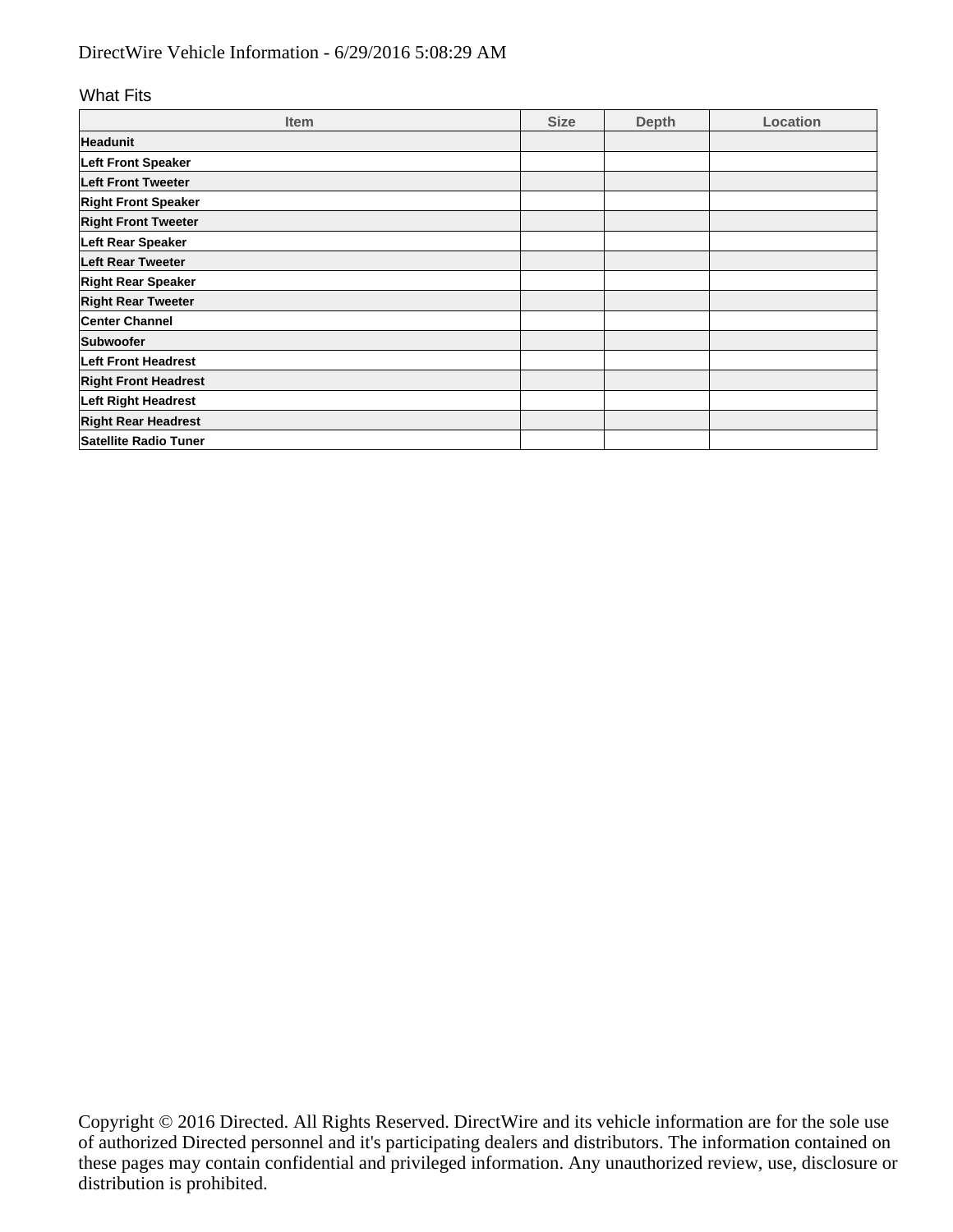# DirectWire Vehicle Information - 6/29/2016 5:08:29 AM

#### What Fits

| <b>Item</b>                 | <b>Size</b> | <b>Depth</b> | Location |
|-----------------------------|-------------|--------------|----------|
| <b>Headunit</b>             |             |              |          |
| <b>Left Front Speaker</b>   |             |              |          |
| Left Front Tweeter          |             |              |          |
| <b>Right Front Speaker</b>  |             |              |          |
| <b>Right Front Tweeter</b>  |             |              |          |
| Left Rear Speaker           |             |              |          |
| <b>Left Rear Tweeter</b>    |             |              |          |
| <b>Right Rear Speaker</b>   |             |              |          |
| <b>Right Rear Tweeter</b>   |             |              |          |
| <b>Center Channel</b>       |             |              |          |
| Subwoofer                   |             |              |          |
| <b>Left Front Headrest</b>  |             |              |          |
| <b>Right Front Headrest</b> |             |              |          |
| <b>Left Right Headrest</b>  |             |              |          |
| <b>Right Rear Headrest</b>  |             |              |          |
| Satellite Radio Tuner       |             |              |          |